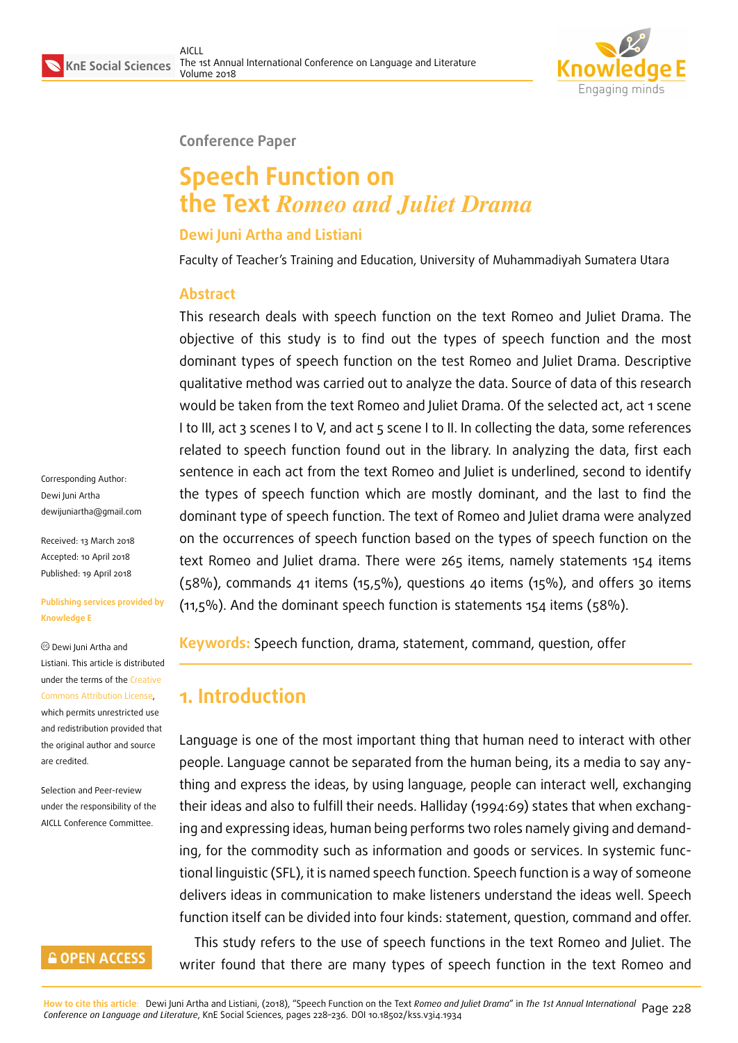

#### **Conference Paper**

# **Speech Function on the Text** *Romeo and Juliet Drama*

#### **Dewi Juni Artha and Listiani**

Faculty of Teacher's Training and Education, University of Muhammadiyah Sumatera Utara

#### **Abstract**

This research deals with speech function on the text Romeo and Juliet Drama. The objective of this study is to find out the types of speech function and the most dominant types of speech function on the test Romeo and Juliet Drama. Descriptive qualitative method was carried out to analyze the data. Source of data of this research would be taken from the text Romeo and Juliet Drama. Of the selected act, act 1 scene I to III, act 3 scenes I to V, and act 5 scene I to II. In collecting the data, some references related to speech function found out in the library. In analyzing the data, first each sentence in each act from the text Romeo and Juliet is underlined, second to identify the types of speech function which are mostly dominant, and the last to find the dominant type of speech function. The text of Romeo and Juliet drama were analyzed on the occurrences of speech function based on the types of speech function on the text Romeo and Juliet drama. There were 265 items, namely statements 154 items  $(58%)$ , commands 41 items  $(15,5%)$ , questions 40 items  $(15%)$ , and offers 30 items (11,5%). And the dominant speech function is statements 154 items (58%).

**Keywords:** Speech function, drama, statement, command, question, offer

# **1. Introduction**

Language is one of the most important thing that human need to interact with other people. Language cannot be separated from the human being, its a media to say anything and express the ideas, by using language, people can interact well, exchanging their ideas and also to fulfill their needs. Halliday (1994:69) states that when exchanging and expressing ideas, human being performs two roles namely giving and demanding, for the commodity such as information and goods or services. In systemic functional linguistic (SFL), it is named speech function. Speech function is a way of someone delivers ideas in communication to make listeners understand the ideas well. Speech function itself can be divided into four kinds: statement, question, command and offer. This study refers to the use of speech functions in the text Romeo and Juliet. The

writer found that there are many types of speech function in the text Romeo and

Corresponding Author: Dewi Juni Artha dewijuniartha@gmail.com

Received: 13 March 2018 Accepted: 10 April 2018 [Published: 19 April 2018](mailto:dewijuniartha@gmail.com)

#### **Publishing services provided by Knowledge E**

Dewi Juni Artha and Listiani. This article is distributed under the terms of the Creative Commons Attribution License,

which permits unrestricted use and redistribution provided that the original author and [source](https://creativecommons.org/licenses/by/4.0/) [are credited.](https://creativecommons.org/licenses/by/4.0/)

Selection and Peer-review under the responsibility of the AICLL Conference Committee.

## **GOPEN ACCESS**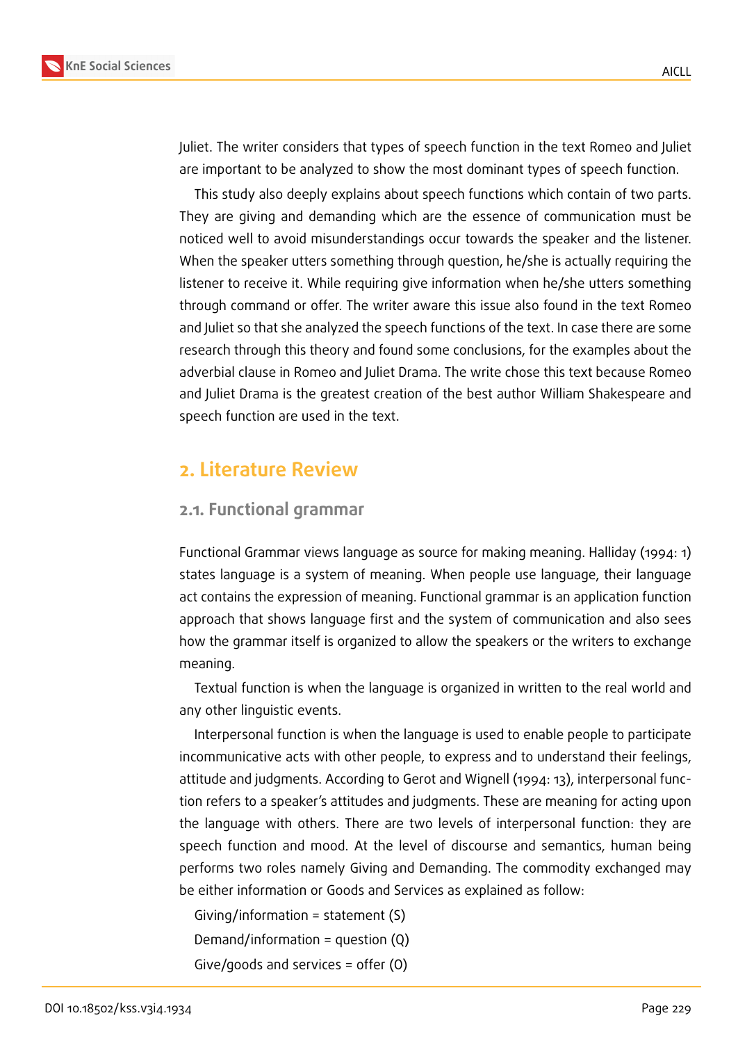

Juliet. The writer considers that types of speech function in the text Romeo and Juliet are important to be analyzed to show the most dominant types of speech function.

This study also deeply explains about speech functions which contain of two parts. They are giving and demanding which are the essence of communication must be noticed well to avoid misunderstandings occur towards the speaker and the listener. When the speaker utters something through question, he/she is actually requiring the listener to receive it. While requiring give information when he/she utters something through command or offer. The writer aware this issue also found in the text Romeo and Juliet so that she analyzed the speech functions of the text. In case there are some research through this theory and found some conclusions, for the examples about the adverbial clause in Romeo and Juliet Drama. The write chose this text because Romeo and Juliet Drama is the greatest creation of the best author William Shakespeare and speech function are used in the text.

# **2. Literature Review**

#### **2.1. Functional grammar**

Functional Grammar views language as source for making meaning. Halliday (1994: 1) states language is a system of meaning. When people use language, their language act contains the expression of meaning. Functional grammar is an application function approach that shows language first and the system of communication and also sees how the grammar itself is organized to allow the speakers or the writers to exchange meaning.

Textual function is when the language is organized in written to the real world and any other linguistic events.

Interpersonal function is when the language is used to enable people to participate incommunicative acts with other people, to express and to understand their feelings, attitude and judgments. According to Gerot and Wignell (1994: 13), interpersonal function refers to a speaker's attitudes and judgments. These are meaning for acting upon the language with others. There are two levels of interpersonal function: they are speech function and mood. At the level of discourse and semantics, human being performs two roles namely Giving and Demanding. The commodity exchanged may be either information or Goods and Services as explained as follow:

Giving/information = statement (S) Demand/information = question (Q) Give/goods and services = offer (O)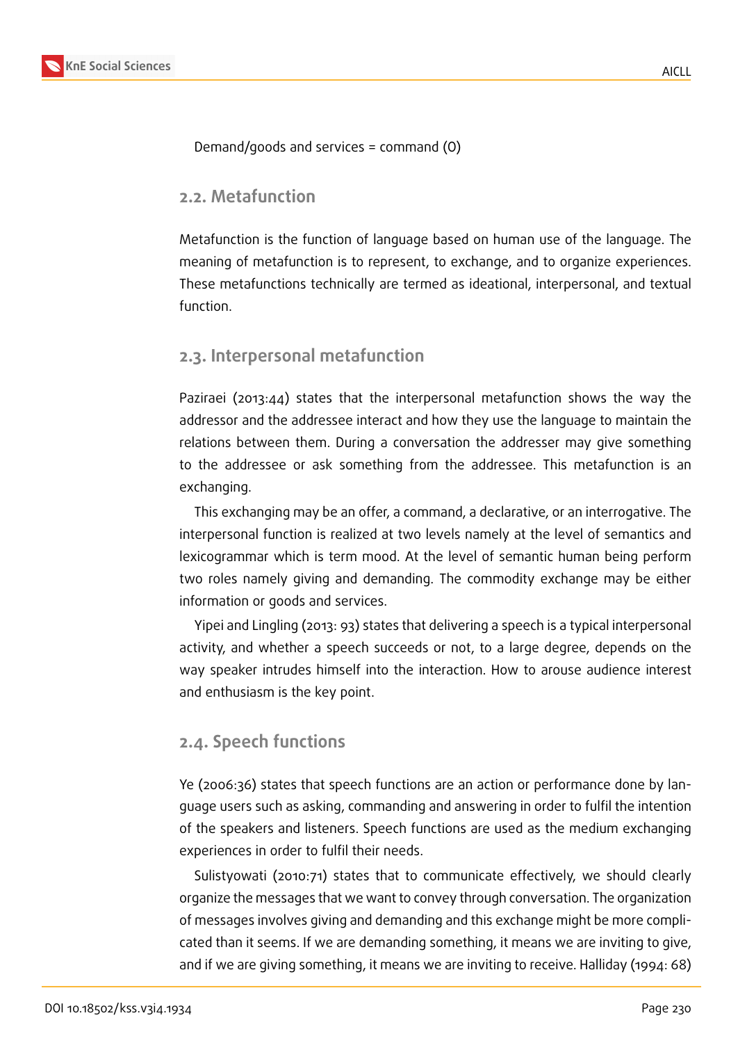

Demand/goods and services = command (O)

#### **2.2. Metafunction**

Metafunction is the function of language based on human use of the language. The meaning of metafunction is to represent, to exchange, and to organize experiences. These metafunctions technically are termed as ideational, interpersonal, and textual function.

## **2.3. Interpersonal metafunction**

Paziraei (2013:44) states that the interpersonal metafunction shows the way the addressor and the addressee interact and how they use the language to maintain the relations between them. During a conversation the addresser may give something to the addressee or ask something from the addressee. This metafunction is an exchanging.

This exchanging may be an offer, a command, a declarative, or an interrogative. The interpersonal function is realized at two levels namely at the level of semantics and lexicogrammar which is term mood. At the level of semantic human being perform two roles namely giving and demanding. The commodity exchange may be either information or goods and services.

Yipei and Lingling (2013: 93) states that delivering a speech is a typical interpersonal activity, and whether a speech succeeds or not, to a large degree, depends on the way speaker intrudes himself into the interaction. How to arouse audience interest and enthusiasm is the key point.

## **2.4. Speech functions**

Ye (2006:36) states that speech functions are an action or performance done by language users such as asking, commanding and answering in order to fulfil the intention of the speakers and listeners. Speech functions are used as the medium exchanging experiences in order to fulfil their needs.

Sulistyowati (2010:71) states that to communicate effectively, we should clearly organize the messages that we want to convey through conversation. The organization of messages involves giving and demanding and this exchange might be more complicated than it seems. If we are demanding something, it means we are inviting to give, and if we are giving something, it means we are inviting to receive. Halliday (1994: 68)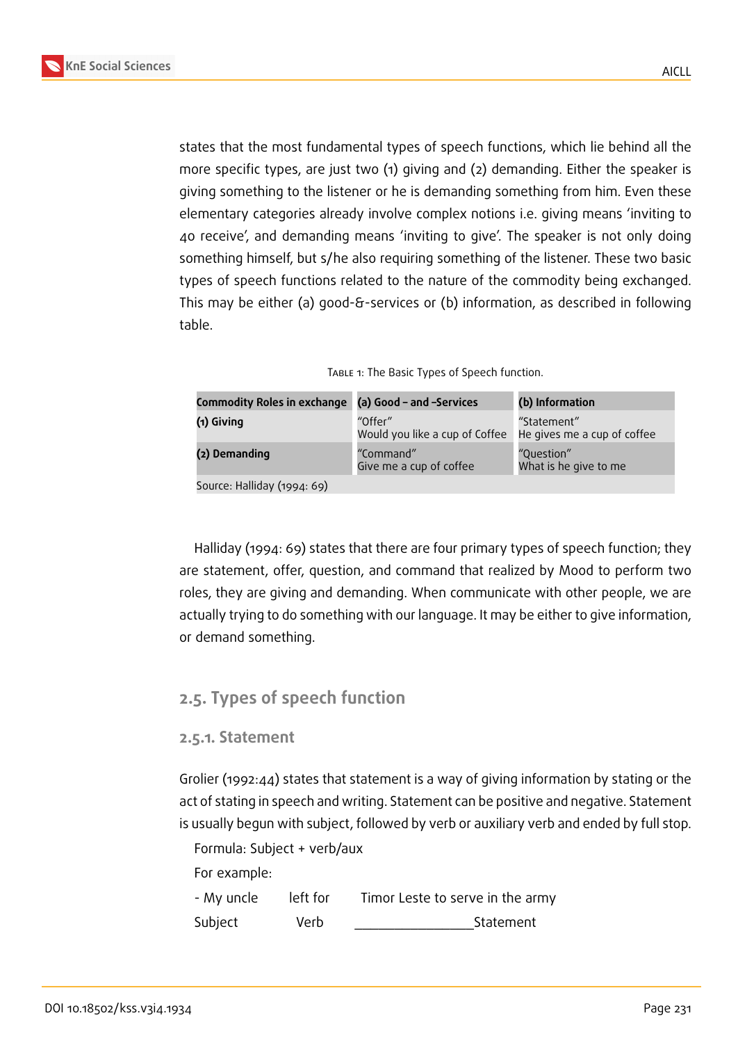

states that the most fundamental types of speech functions, which lie behind all the more specific types, are just two (1) giving and (2) demanding. Either the speaker is giving something to the listener or he is demanding something from him. Even these elementary categories already involve complex notions i.e. giving means 'inviting to 40 receive', and demanding means 'inviting to give'. The speaker is not only doing something himself, but s/he also requiring something of the listener. These two basic types of speech functions related to the nature of the commodity being exchanged. This may be either (a) good-&-services or (b) information, as described in following table.

|  | TABLE 1: The Basic Types of Speech function. |  |
|--|----------------------------------------------|--|
|  |                                              |  |

| Commodity Roles in exchange (a) Good - and -Services |                                           | (b) Information                            |
|------------------------------------------------------|-------------------------------------------|--------------------------------------------|
| (1) Giving                                           | "Offer"<br>Would you like a cup of Coffee | "Statement"<br>He gives me a cup of coffee |
| (2) Demanding                                        | "Command"<br>Give me a cup of coffee      | "Question"<br>What is he give to me        |
| $\cdots$ $\cdots$ $\cdots$ $\cdots$                  |                                           |                                            |

Source: Halliday (1994: 69)

Halliday (1994: 69) states that there are four primary types of speech function; they are statement, offer, question, and command that realized by Mood to perform two roles, they are giving and demanding. When communicate with other people, we are actually trying to do something with our language. It may be either to give information, or demand something.

## **2.5. Types of speech function**

## **2.5.1. Statement**

Grolier (1992:44) states that statement is a way of giving information by stating or the act of stating in speech and writing. Statement can be positive and negative. Statement is usually begun with subject, followed by verb or auxiliary verb and ended by full stop.

Formula: Subject + verb/aux For example:

| - My uncle | left for | Timor Leste to serve in the army |
|------------|----------|----------------------------------|
| Subject    | Verb     | Statement                        |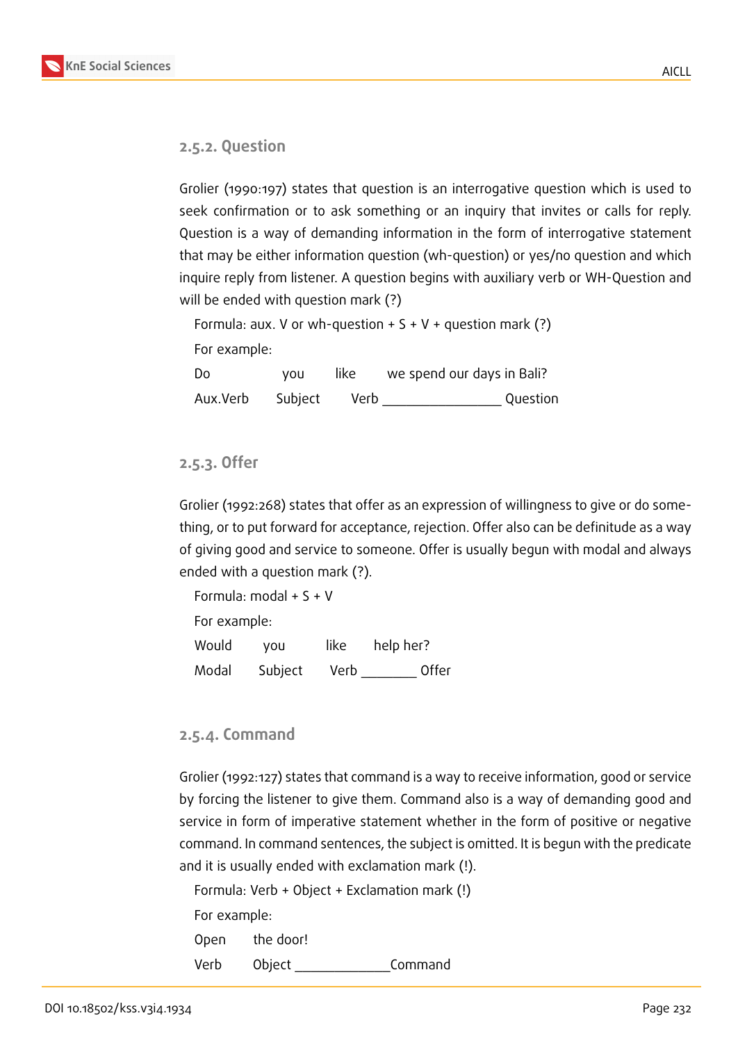

#### **2.5.2. Question**

Grolier (1990:197) states that question is an interrogative question which is used to seek confirmation or to ask something or an inquiry that invites or calls for reply. Question is a way of demanding information in the form of interrogative statement that may be either information question (wh-question) or yes/no question and which inquire reply from listener. A question begins with auxiliary verb or WH-Question and will be ended with question mark (?)

```
Formula: aux. V or wh-question + S + V + question mark (?)
For example:
Do you like we spend our days in Bali?
```
Aux.Verb Subject Verb **Cullet Aux.Verb** 

#### **2.5.3. Offer**

Grolier (1992:268) states that offer as an expression of willingness to give or do something, or to put forward for acceptance, rejection. Offer also can be definitude as a way of giving good and service to someone. Offer is usually begun with modal and always ended with a question mark (?).

Formula: modal + S + V For example: Would you like help her? Modal Subject Verb Offer

#### **2.5.4. Command**

Grolier (1992:127) states that command is a way to receive information, good or service by forcing the listener to give them. Command also is a way of demanding good and service in form of imperative statement whether in the form of positive or negative command. In command sentences, the subject is omitted. It is begun with the predicate and it is usually ended with exclamation mark (!).

Formula: Verb + Object + Exclamation mark (!) For example: Open the door! Verb Object \_\_\_\_\_\_\_\_\_\_\_\_Command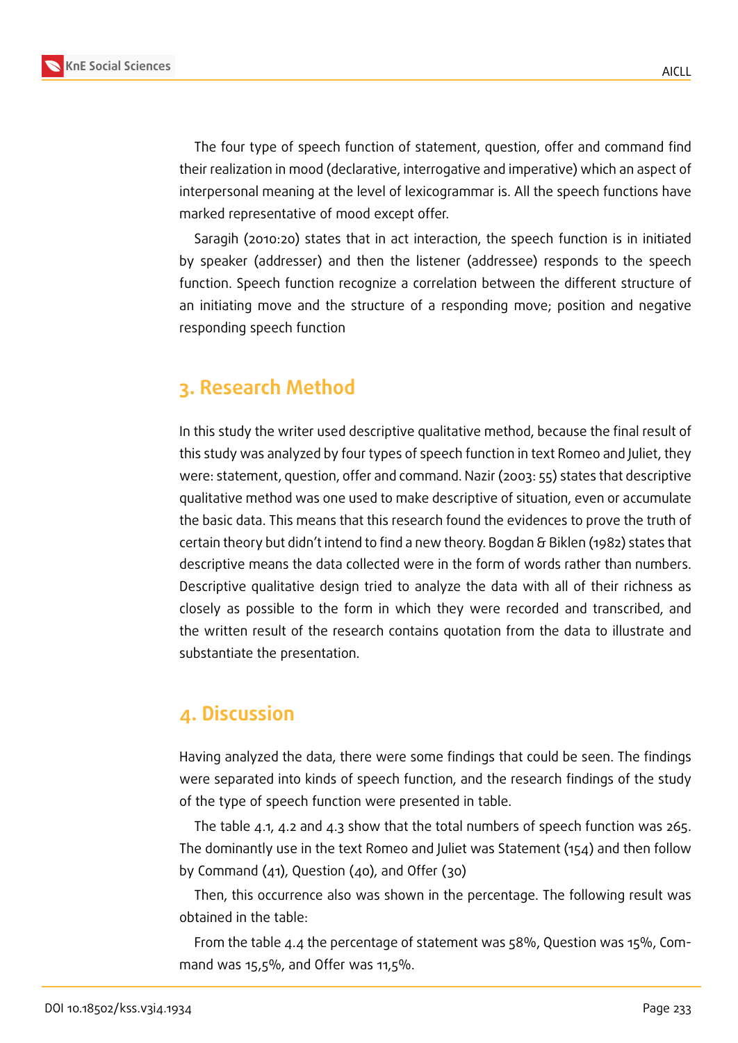

The four type of speech function of statement, question, offer and command find their realization in mood (declarative, interrogative and imperative) which an aspect of interpersonal meaning at the level of lexicogrammar is. All the speech functions have marked representative of mood except offer.

Saragih (2010:20) states that in act interaction, the speech function is in initiated by speaker (addresser) and then the listener (addressee) responds to the speech function. Speech function recognize a correlation between the different structure of an initiating move and the structure of a responding move; position and negative responding speech function

# **3. Research Method**

In this study the writer used descriptive qualitative method, because the final result of this study was analyzed by four types of speech function in text Romeo and Juliet, they were: statement, question, offer and command. Nazir (2003: 55) states that descriptive qualitative method was one used to make descriptive of situation, even or accumulate the basic data. This means that this research found the evidences to prove the truth of certain theory but didn't intend to find a new theory. Bogdan & Biklen (1982) states that descriptive means the data collected were in the form of words rather than numbers. Descriptive qualitative design tried to analyze the data with all of their richness as closely as possible to the form in which they were recorded and transcribed, and the written result of the research contains quotation from the data to illustrate and substantiate the presentation.

# **4. Discussion**

Having analyzed the data, there were some findings that could be seen. The findings were separated into kinds of speech function, and the research findings of the study of the type of speech function were presented in table.

The table 4.1, 4.2 and 4.3 show that the total numbers of speech function was 265. The dominantly use in the text Romeo and Juliet was Statement (154) and then follow by Command (41), Question (40), and Offer (30)

Then, this occurrence also was shown in the percentage. The following result was obtained in the table:

From the table 4.4 the percentage of statement was 58%, Question was 15%, Command was 15,5%, and Offer was 11,5%.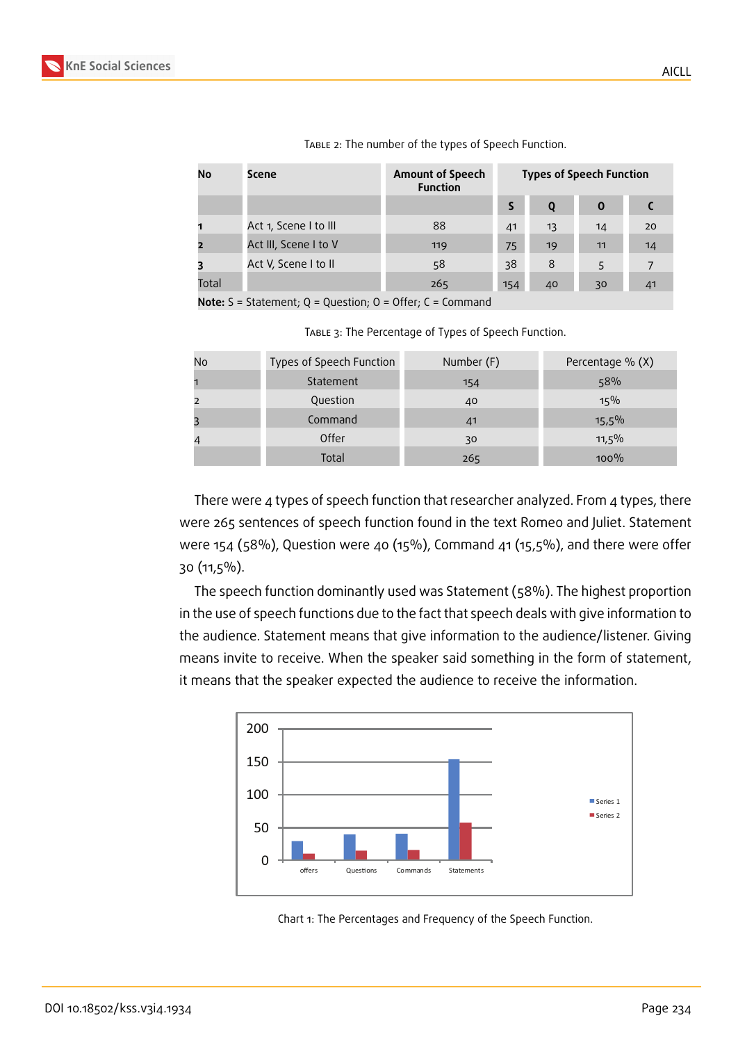

| No    | Scene                 | <b>Amount of Speech</b><br><b>Function</b> | <b>Types of Speech Function</b> |    |             |                |
|-------|-----------------------|--------------------------------------------|---------------------------------|----|-------------|----------------|
|       |                       |                                            |                                 | 0  | $\mathbf 0$ |                |
|       | Act 1, Scene I to III | 88                                         | 41                              | 13 | 14          | 20             |
|       | Act III, Scene I to V | 119                                        | 75                              | 19 | 11          | 14             |
|       | Act V, Scene I to II  | 58                                         | 38                              | 8  | 5           | $\overline{7}$ |
| Total |                       | 265                                        | 154                             | 40 | 30          | 41             |

TABLE 2: The number of the types of Speech Function.

**Note:** S = Statement; Q = Question; O = Offer; C = Command

TABLE 3: The Percentage of Types of Speech Function.

| No | Types of Speech Function | Number (F) | Percentage % (X) |
|----|--------------------------|------------|------------------|
|    | Statement                | 154        | 58%              |
|    | Question                 | 40         | 15%              |
|    | Command                  | 41         | $15,5\%$         |
|    | Offer                    | 30         | 11,5%            |
|    | Total                    | 265        | 100%             |

There were 4 types of speech function that researcher analyzed. From 4 types, there were 265 sentences of speech function found in the text Romeo and Juliet. Statement were 154 (58%), Question were 40 (15%), Command 41 (15,5%), and there were offer 30 (11,5%).

The speech function dominantly used was Statement (58%). The highest proportion in the use of speech functions due to the fact that speech deals with give information to the audience. Statement means that give information to the audience/listener. Giving means invite to receive. When the speaker said something in the form of statement, it means that the speaker expected the audience to receive the information.



Chart 1: The Percentages and Frequency of the Speech Function.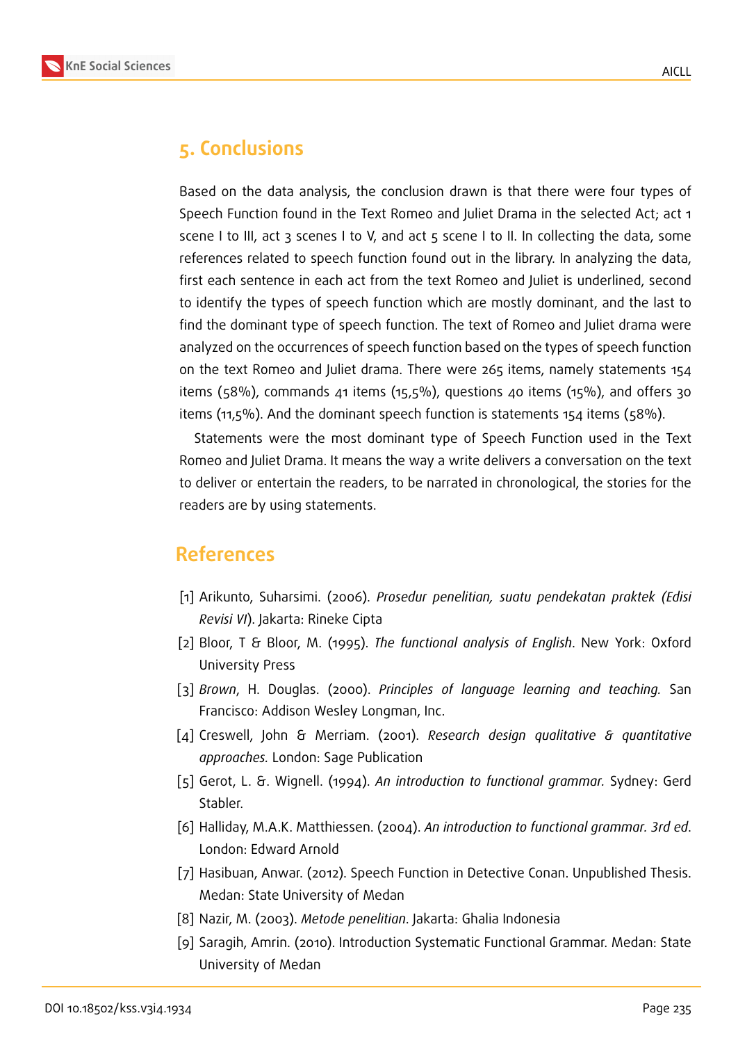

# **5. Conclusions**

Based on the data analysis, the conclusion drawn is that there were four types of Speech Function found in the Text Romeo and Juliet Drama in the selected Act; act 1 scene I to III, act 3 scenes I to V, and act 5 scene I to II. In collecting the data, some references related to speech function found out in the library. In analyzing the data, first each sentence in each act from the text Romeo and Juliet is underlined, second to identify the types of speech function which are mostly dominant, and the last to find the dominant type of speech function. The text of Romeo and Juliet drama were analyzed on the occurrences of speech function based on the types of speech function on the text Romeo and Juliet drama. There were 265 items, namely statements 154 items (58%), commands 41 items (15,5%), questions 40 items (15%), and offers 30 items (11,5%). And the dominant speech function is statements 154 items (58%).

Statements were the most dominant type of Speech Function used in the Text Romeo and Juliet Drama. It means the way a write delivers a conversation on the text to deliver or entertain the readers, to be narrated in chronological, the stories for the readers are by using statements.

# **References**

- [1] Arikunto, Suharsimi. (2006). *Prosedur penelitian, suatu pendekatan praktek (Edisi Revisi VI*). Jakarta: Rineke Cipta
- [2] Bloor, T & Bloor, M. (1995). *The functional analysis of English*. New York: Oxford University Press
- [3] *Brown*, H. Douglas. (2000). *Principles of language learning and teaching.* San Francisco: Addison Wesley Longman, Inc.
- [4] Creswell, John & Merriam. (2001). *Research design qualitative & quantitative approaches.* London: Sage Publication
- [5] Gerot, L. &. Wignell. (1994). *An introduction to functional grammar.* Sydney: Gerd Stabler.
- [6] Halliday, M.A.K. Matthiessen. (2004). *An introduction to functional grammar. 3rd ed*. London: Edward Arnold
- [7] Hasibuan, Anwar. (2012). Speech Function in Detective Conan. Unpublished Thesis. Medan: State University of Medan
- [8] Nazir, M. (2003). *Metode penelitian*. Jakarta: Ghalia Indonesia
- [9] Saragih, Amrin. (2010). Introduction Systematic Functional Grammar. Medan: State University of Medan